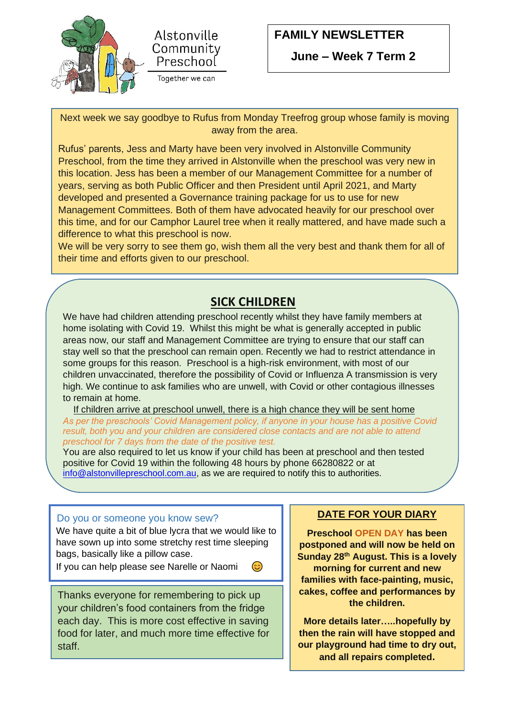

I

 $\overline{\phantom{a}}$ 



## **FAMILY NEWSLETTER**

 **June – Week 7 Term 2**

Next week we say goodbye to Rufus from Monday Treefrog group whose family is moving away from the area.

Rufus' parents, Jess and Marty have been very involved in Alstonville Community Preschool, from the time they arrived in Alstonville when the preschool was very new in this location. Jess has been a member of our Management Committee for a number of years, serving as both Public Officer and then President until April 2021, and Marty developed and presented a Governance training package for us to use for new Management Committees. Both of them have advocated heavily for our preschool over this time, and for our Camphor Laurel tree when it really mattered, and have made such a difference to what this preschool is now.

We will be very sorry to see them go, wish them all the very best and thank them for all of their time and efforts given to our preschool.

### **SICK CHILDREN**

We have had children attending preschool recently whilst they have family members at home isolating with Covid 19. Whilst this might be what is generally accepted in public areas now, our staff and Management Committee are trying to ensure that our staff can stay well so that the preschool can remain open. Recently we had to restrict attendance in some groups for this reason. Preschool is a high-risk environment, with most of our children unvaccinated, therefore the possibility of Covid or Influenza A transmission is very high. We continue to ask families who are unwell, with Covid or other contagious illnesses to remain at home.

 If children arrive at preschool unwell, there is a high chance they will be sent home *As per the preschools' Covid Management policy, if anyone in your house has a positive Covid result, both you and your children are considered close contacts and are not able to attend preschool for 7 days from the date of the positive test.*

You are also required to let us know if your child has been at preschool and then tested positive for Covid 19 within the following 48 hours by phone 66280822 or at [info@alstonvillepreschool.com.au,](mailto:info@alstonvillepreschool.com.au) as we are required to notify this to authorities.

#### Do you or someone you know sew?

 We have quite a bit of blue lycra that we would like to have sown up into some stretchy rest time sleeping bags, basically like a pillow case.

 If you can help please see Narelle or Naomi  $\odot$ 

Thanks everyone for remembering to pick up your children's food containers from the fridge each day. This is more cost effective in saving food for later, and much more time effective for staff.

#### **DATE FOR YOUR DIARY**

**Preschool OPEN DAY has been postponed and will now be held on Sunday 28th August. This is a lovely morning for current and new families with face-painting, music, cakes, coffee and performances by the children.** 

**More details later…..hopefully by then the rain will have stopped and our playground had time to dry out, and all repairs completed.**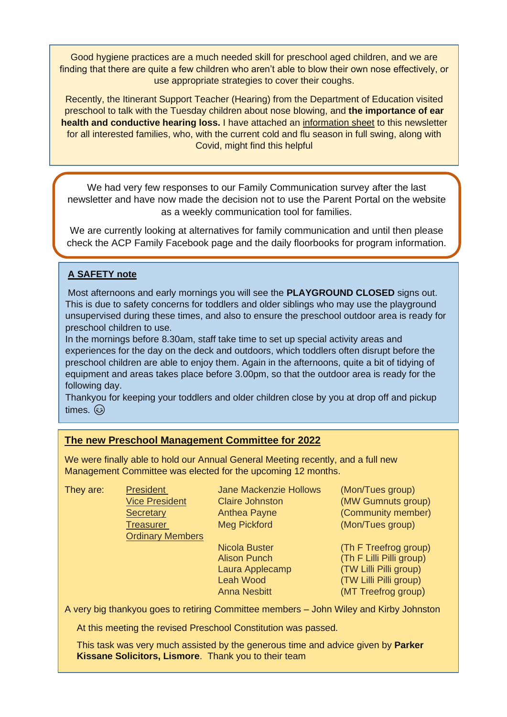Good hygiene practices are a much needed skill for preschool aged children, and we are finding that there are quite a few children who aren't able to blow their own nose effectively, or use appropriate strategies to cover their coughs.

Recently, the Itinerant Support Teacher (Hearing) from the Department of Education visited preschool to talk with the Tuesday children about nose blowing, and **the importance of ear health and conductive hearing loss.** I have attached an information sheet to this newsletter for all interested families, who, with the current cold and flu season in full swing, along with Covid, might find this helpful

We had very few responses to our Family Communication survey after the last newsletter and have now made the decision not to use the Parent Portal on the website as a weekly communication tool for families.

We are currently looking at alternatives for family communication and until then please check the ACP Family Facebook page and the daily floorbooks for program information.

#### **A SAFETY note**

Most afternoons and early mornings you will see the **PLAYGROUND CLOSED** signs out. This is due to safety concerns for toddlers and older siblings who may use the playground unsupervised during these times, and also to ensure the preschool outdoor area is ready for preschool children to use.

In the mornings before 8.30am, staff take time to set up special activity areas and experiences for the day on the deck and outdoors, which toddlers often disrupt before the preschool children are able to enjoy them. Again in the afternoons, quite a bit of tidying of equipment and areas takes place before 3.00pm, so that the outdoor area is ready for the following day.

Thankyou for keeping your toddlers and older children close by you at drop off and pickup times. ۞

#### **The new Preschool Management Committee for 2022**

We were finally able to hold our Annual General Meeting recently, and a full new Management Committee was elected for the upcoming 12 months.

| They are: | <b>President</b>        | <b>Jane Mackenzie Hollows</b> | (Mon/Tues group)         |
|-----------|-------------------------|-------------------------------|--------------------------|
|           | <b>Vice President</b>   | <b>Claire Johnston</b>        | (MW Gumnuts group)       |
|           | <b>Secretary</b>        | <b>Anthea Payne</b>           | (Community member)       |
|           | <b>Treasurer</b>        | <b>Meg Pickford</b>           | (Mon/Tues group)         |
|           | <b>Ordinary Members</b> |                               |                          |
|           |                         | <b>Nicola Buster</b>          | (Th F Treefrog group)    |
|           |                         | <b>Alison Punch</b>           | (Th F Lilli Pilli group) |
|           |                         | Laura Applecamp               | (TW Lilli Pilli group)   |
|           |                         | <b>Leah Wood</b>              | (TW Lilli Pilli group)   |

A very big thankyou goes to retiring Committee members – John Wiley and Kirby Johnston

Anna Nesbitt (MT Treefrog group)

At this meeting the revised Preschool Constitution was passed.

This task was very much assisted by the generous time and advice given by **Parker Kissane Solicitors, Lismore**. Thank you to their team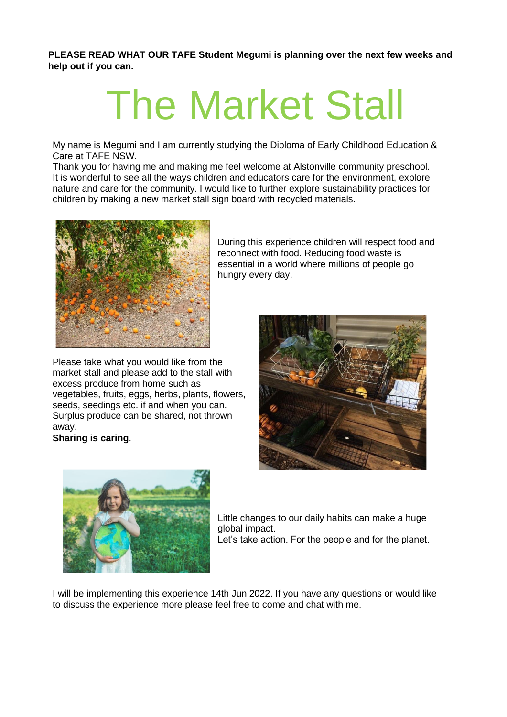**PLEASE READ WHAT OUR TAFE Student Megumi is planning over the next few weeks and help out if you can.** 

# The Market Stall

My name is Megumi and I am currently studying the Diploma of Early Childhood Education & Care at TAFE NSW.

Thank you for having me and making me feel welcome at Alstonville community preschool. It is wonderful to see all the ways children and educators care for the environment, explore nature and care for the community. I would like to further explore sustainability practices for children by making a new market stall sign board with recycled materials.



Please take what you would like from the market stall and please add to the stall with excess produce from home such as vegetables, fruits, eggs, herbs, plants, flowers, seeds, seedings etc. if and when you can. Surplus produce can be shared, not thrown away.

#### **Sharing is caring**.

During this experience children will respect food and reconnect with food. Reducing food waste is essential in a world where millions of people go hungry every day.





Little changes to our daily habits can make a huge global impact. Let's take action. For the people and for the planet.

I will be implementing this experience 14th Jun 2022. If you have any questions or would like to discuss the experience more please feel free to come and chat with me.